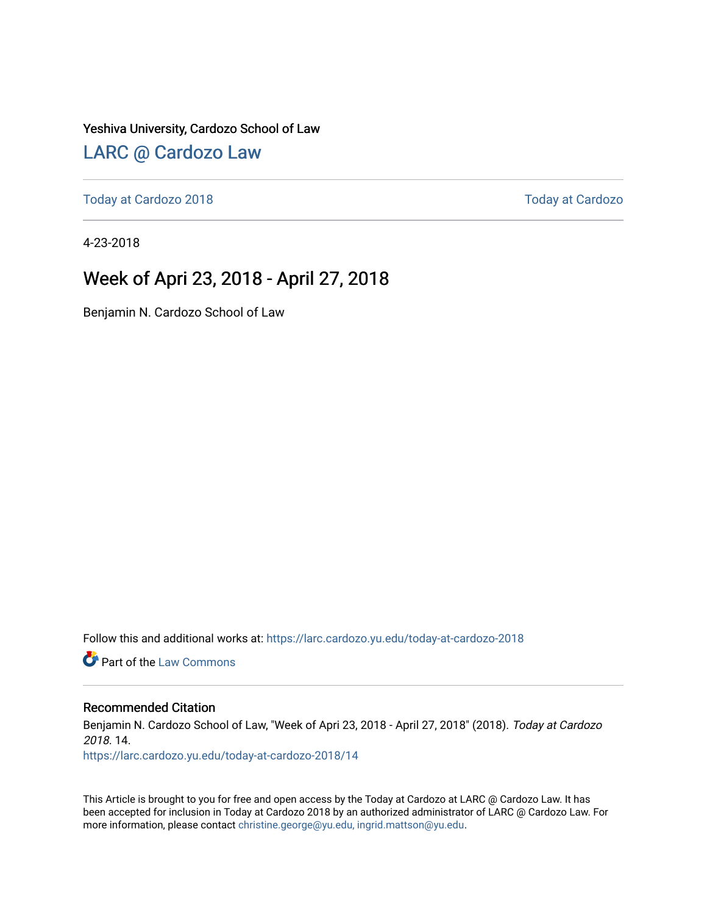#### Yeshiva University, Cardozo School of Law

### [LARC @ Cardozo Law](https://larc.cardozo.yu.edu/)

[Today at Cardozo 2018](https://larc.cardozo.yu.edu/today-at-cardozo-2018) [Today at Cardozo](https://larc.cardozo.yu.edu/today-at-cardozo) 

4-23-2018

### Week of Apri 23, 2018 - April 27, 2018

Benjamin N. Cardozo School of Law

Follow this and additional works at: [https://larc.cardozo.yu.edu/today-at-cardozo-2018](https://larc.cardozo.yu.edu/today-at-cardozo-2018?utm_source=larc.cardozo.yu.edu%2Ftoday-at-cardozo-2018%2F14&utm_medium=PDF&utm_campaign=PDFCoverPages)

**C** Part of the [Law Commons](http://network.bepress.com/hgg/discipline/578?utm_source=larc.cardozo.yu.edu%2Ftoday-at-cardozo-2018%2F14&utm_medium=PDF&utm_campaign=PDFCoverPages)

#### Recommended Citation

Benjamin N. Cardozo School of Law, "Week of Apri 23, 2018 - April 27, 2018" (2018). Today at Cardozo 2018. 14.

[https://larc.cardozo.yu.edu/today-at-cardozo-2018/14](https://larc.cardozo.yu.edu/today-at-cardozo-2018/14?utm_source=larc.cardozo.yu.edu%2Ftoday-at-cardozo-2018%2F14&utm_medium=PDF&utm_campaign=PDFCoverPages) 

This Article is brought to you for free and open access by the Today at Cardozo at LARC @ Cardozo Law. It has been accepted for inclusion in Today at Cardozo 2018 by an authorized administrator of LARC @ Cardozo Law. For more information, please contact [christine.george@yu.edu, ingrid.mattson@yu.edu](mailto:christine.george@yu.edu,%20ingrid.mattson@yu.edu).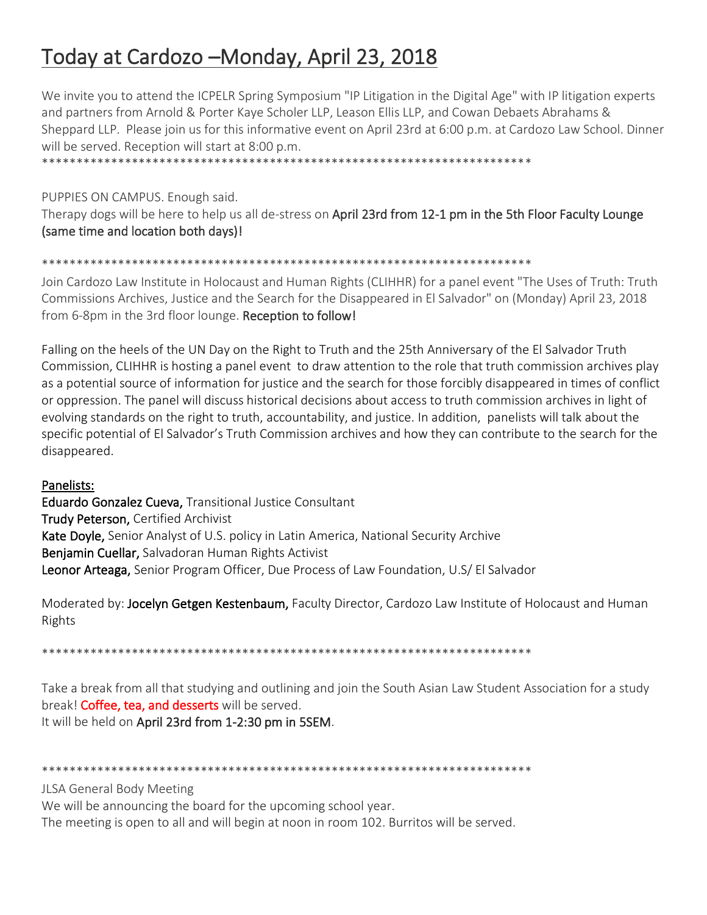# Today at Cardozo -Monday, April 23, 2018

We invite you to attend the ICPELR Spring Symposium "IP Litigation in the Digital Age" with IP litigation experts and partners from Arnold & Porter Kaye Scholer LLP, Leason Ellis LLP, and Cowan Debaets Abrahams & Sheppard LLP. Please join us for this informative event on April 23rd at 6:00 p.m. at Cardozo Law School. Dinner will be served. Reception will start at 8:00 p.m.

PUPPIES ON CAMPUS. Enough said. Therapy dogs will be here to help us all de-stress on April 23rd from 12-1 pm in the 5th Floor Faculty Lounge (same time and location both days)!

#### 

Join Cardozo Law Institute in Holocaust and Human Rights (CLIHHR) for a panel event "The Uses of Truth: Truth Commissions Archives, Justice and the Search for the Disappeared in El Salvador" on (Monday) April 23, 2018 from 6-8pm in the 3rd floor lounge. Reception to follow!

Falling on the heels of the UN Day on the Right to Truth and the 25th Anniversary of the El Salvador Truth Commission, CLIHHR is hosting a panel event to draw attention to the role that truth commission archives play as a potential source of information for justice and the search for those forcibly disappeared in times of conflict or oppression. The panel will discuss historical decisions about access to truth commission archives in light of evolving standards on the right to truth, accountability, and justice. In addition, panelists will talk about the specific potential of El Salvador's Truth Commission archives and how they can contribute to the search for the disappeared.

#### Panelists:

Eduardo Gonzalez Cueva, Transitional Justice Consultant Trudy Peterson, Certified Archivist Kate Doyle, Senior Analyst of U.S. policy in Latin America, National Security Archive Benjamin Cuellar, Salvadoran Human Rights Activist Leonor Arteaga, Senior Program Officer, Due Process of Law Foundation, U.S/ El Salvador

Moderated by: Jocelyn Getgen Kestenbaum, Faculty Director, Cardozo Law Institute of Holocaust and Human Rights

Take a break from all that studying and outlining and join the South Asian Law Student Association for a study break! Coffee, tea, and desserts will be served. It will be held on April 23rd from 1-2:30 pm in 5SEM.

**JLSA General Body Meeting** 

We will be announcing the board for the upcoming school year.

The meeting is open to all and will begin at noon in room 102. Burritos will be served.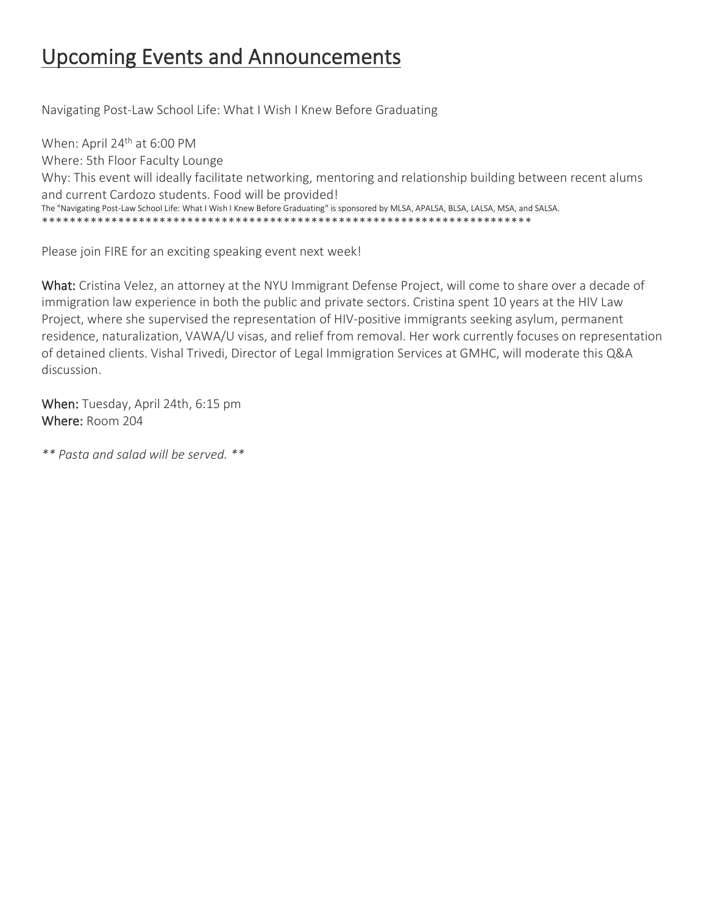### Upcoming Events and Announcements

Navigating Post-Law School Life: What I Wish I Knew Before Graduating

When: April 24<sup>th</sup> at 6:00 PM Where: 5th Floor Faculty Lounge Why: This event will ideally facilitate networking, mentoring and relationship building between recent alums and current Cardozo students. Food will be provided! The "Navigating Post-Law School Life: What I Wish I Knew Before Graduating" is sponsored by MLSA, APALSA, BLSA, LALSA, MSA, and SALSA. \*\*\*\*\*\*\*\*\*\*\*\*\*\*\*\*\*\*\*\*\*\*\*\*\*\*\*\*\*\*\*\*\*\*\*\*\*\*\*\*\*\*\*\*\*\*\*\*\*\*\*\*\*\*\*\*\*\*\*\*\*\*\*\*\*\*\*\*\*\*\*

Please join FIRE for an exciting speaking event next week!

What: Cristina Velez, an attorney at the NYU Immigrant Defense Project, will come to share over a decade of immigration law experience in both the public and private sectors. Cristina spent 10 years at the HIV Law Project, where she supervised the representation of HIV-positive immigrants seeking asylum, permanent residence, naturalization, VAWA/U visas, and relief from removal. Her work currently focuses on representation of detained clients. Vishal Trivedi, Director of Legal Immigration Services at GMHC, will moderate this Q&A discussion.

When: Tuesday, April 24th, 6:15 pm Where: Room 204

*\*\* Pasta and salad will be served. \*\**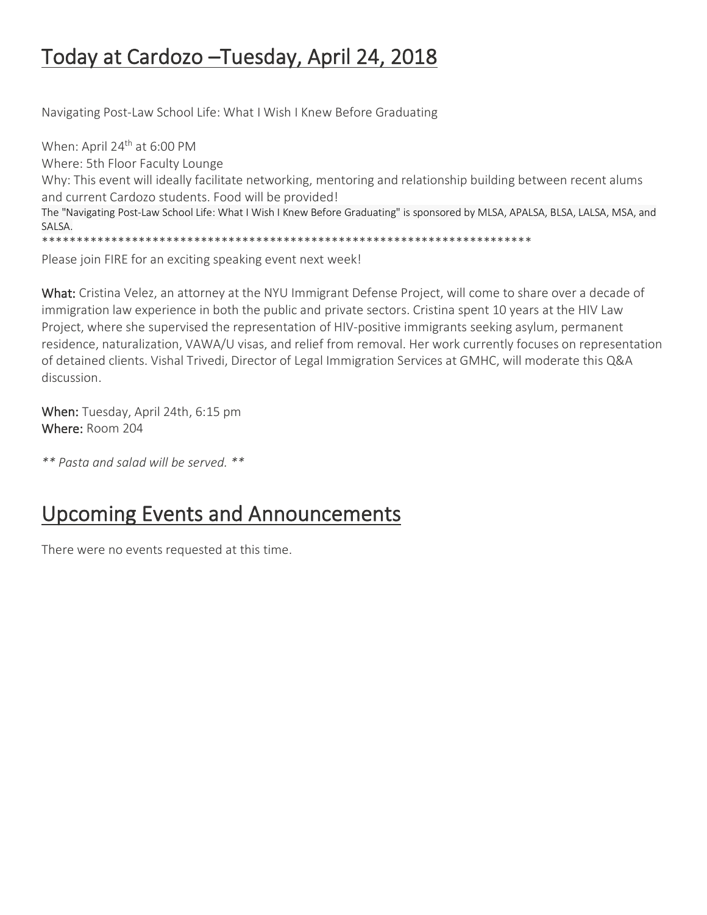### Today at Cardozo –Tuesday, April 24, 2018

Navigating Post-Law School Life: What I Wish I Knew Before Graduating

When: April 24<sup>th</sup> at 6:00 PM Where: 5th Floor Faculty Lounge Why: This event will ideally facilitate networking, mentoring and relationship building between recent alums and current Cardozo students. Food will be provided! The "Navigating Post-Law School Life: What I Wish I Knew Before Graduating" is sponsored by MLSA, APALSA, BLSA, LALSA, MSA, and SALSA. \*\*\*\*\*\*\*\*\*\*\*\*\*\*\*\*\*\*\*\*\*\*\*\*\*\*\*\*\*\*\*\*\*\*\*\*\*\*\*\*\*\*\*\*\*\*\*\*\*\*\*\*\*\*\*\*\*\*\*\*\*\*\*\*\*\*\*\*\*\*\*

Please join FIRE for an exciting speaking event next week!

What: Cristina Velez, an attorney at the NYU Immigrant Defense Project, will come to share over a decade of immigration law experience in both the public and private sectors. Cristina spent 10 years at the HIV Law Project, where she supervised the representation of HIV-positive immigrants seeking asylum, permanent residence, naturalization, VAWA/U visas, and relief from removal. Her work currently focuses on representation of detained clients. Vishal Trivedi, Director of Legal Immigration Services at GMHC, will moderate this Q&A discussion.

When: Tuesday, April 24th, 6:15 pm Where: Room 204

*\*\* Pasta and salad will be served. \*\**

### Upcoming Events and Announcements

There were no events requested at this time.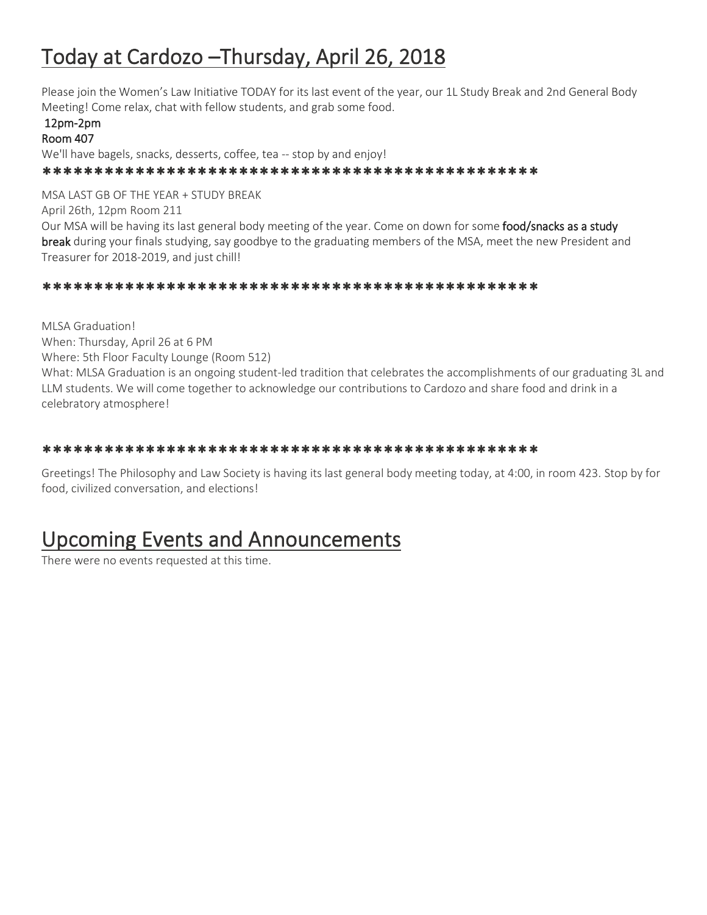## Today at Cardozo –Thursday, April 26, 2018

Please join the Women's Law Initiative TODAY for its last event of the year, our 1L Study Break and 2nd General Body Meeting! Come relax, chat with fellow students, and grab some food.

#### 12pm-2pm

Room 407

We'll have bagels, snacks, desserts, coffee, tea -- stop by and enjoy!

\*\*\*\*\*\*\*\*\*\*\*\*\*\*\*\*\*\*\*\*\*\*\*\*\*\*\*\*\*\*\*\*\*\*\*\*\*\*\*\*\*\*\*\*\*\*\*\*

MSA LAST GB OF THE YEAR + STUDY BREAK

April 26th, 12pm Room 211

Our MSA will be having its last general body meeting of the year. Come on down for some **food/snacks as a study** break during your finals studying, say goodbye to the graduating members of the MSA, meet the new President and Treasurer for 2018-2019, and just chill!

#### \*\*\*\*\*\*\*\*\*\*\*\*\*\*\*\*\*\*\*\*\*\*\*\*\*\*\*\*\*\*\*\*\*\*\*\*\*\*\*\*\*\*\*\*\*\*\*\*

MLSA Graduation! When: Thursday, April 26 at 6 PM Where: 5th Floor Faculty Lounge (Room 512) What: MLSA Graduation is an ongoing student-led tradition that celebrates the accomplishments of our graduating 3L and LLM students. We will come together to acknowledge our contributions to Cardozo and share food and drink in a celebratory atmosphere!

#### \*\*\*\*\*\*\*\*\*\*\*\*\*\*\*\*\*\*\*\*\*\*\*\*\*\*\*\*\*\*\*\*\*\*\*\*\*\*\*\*\*\*\*\*\*\*\*\*

Greetings! The Philosophy and Law Society is having its last general body meeting today, at 4:00, in room 423. Stop by for food, civilized conversation, and elections!

### Upcoming Events and Announcements

There were no events requested at this time.